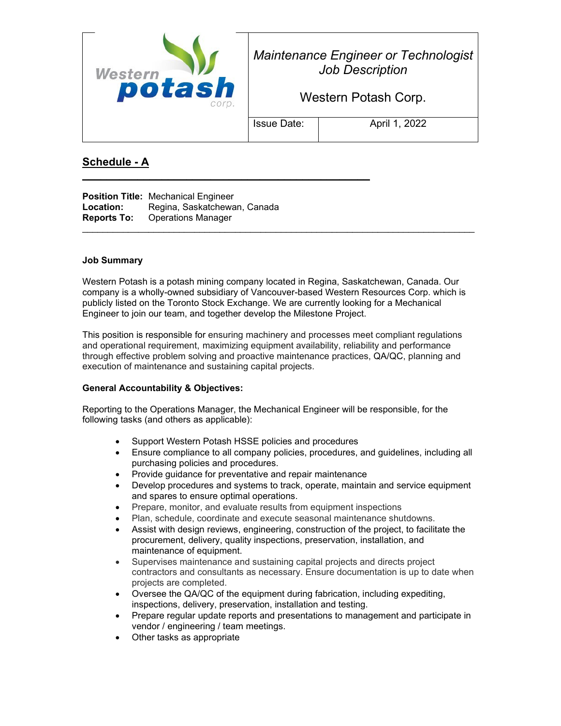

*Maintenance Engineer or Technologist Job Description*

Western Potash Corp.

Issue Date:  $\vert$  April 1, 2022

## **Schedule - A**

**Position Title:** Mechanical Engineer Location: Regina, Saskatchewan, Canada **Reports To:** Operations Manager

**\_\_\_\_\_\_\_\_\_\_\_\_\_\_\_\_\_\_\_\_\_\_\_\_\_\_\_\_\_\_\_\_\_\_\_\_\_\_\_\_\_\_\_\_\_\_\_**

#### **Job Summary**

Western Potash is a potash mining company located in Regina, Saskatchewan, Canada. Our company is a wholly-owned subsidiary of Vancouver-based Western Resources Corp. which is publicly listed on the Toronto Stock Exchange. We are currently looking for a Mechanical Engineer to join our team, and together develop the Milestone Project.

This position is responsible for ensuring machinery and processes meet compliant regulations and operational requirement, maximizing equipment availability, reliability and performance through effective problem solving and proactive maintenance practices, QA/QC, planning and execution of maintenance and sustaining capital projects.

#### **General Accountability & Objectives:**

Reporting to the Operations Manager, the Mechanical Engineer will be responsible, for the following tasks (and others as applicable):

- Support Western Potash HSSE policies and procedures
- Ensure compliance to all company policies, procedures, and guidelines, including all purchasing policies and procedures.
- Provide guidance for preventative and repair maintenance
- Develop procedures and systems to track, operate, maintain and service equipment and spares to ensure optimal operations.
- Prepare, monitor, and evaluate results from equipment inspections
- Plan, schedule, coordinate and execute seasonal maintenance shutdowns.
- Assist with design reviews, engineering, construction of the project, to facilitate the procurement, delivery, quality inspections, preservation, installation, and maintenance of equipment.
- Supervises maintenance and sustaining capital projects and directs project contractors and consultants as necessary. Ensure documentation is up to date when projects are completed.
- Oversee the QA/QC of the equipment during fabrication, including expediting, inspections, delivery, preservation, installation and testing.
- Prepare regular update reports and presentations to management and participate in vendor / engineering / team meetings.
- Other tasks as appropriate